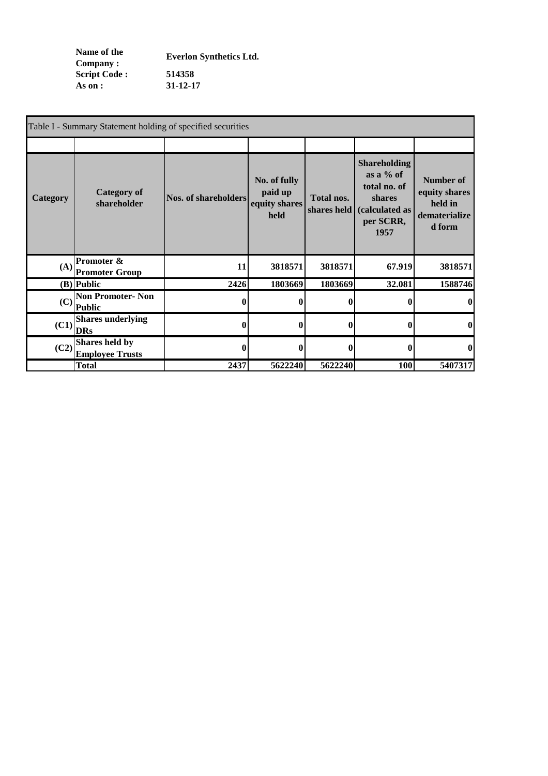**Name of the Company : Script Code : 514358 As on : 31-12-17 Everlon Synthetics Ltd.**

|          | Table I - Summary Statement holding of specified securities |                             |                                                  |                           |                                                                                                             |                                                                  |
|----------|-------------------------------------------------------------|-----------------------------|--------------------------------------------------|---------------------------|-------------------------------------------------------------------------------------------------------------|------------------------------------------------------------------|
|          |                                                             |                             |                                                  |                           |                                                                                                             |                                                                  |
| Category | <b>Category of</b><br>shareholder                           | <b>Nos. of shareholders</b> | No. of fully<br>paid up<br>equity shares<br>held | Total nos.<br>shares held | <b>Shareholding</b><br>as a $\%$ of<br>total no. of<br><b>shares</b><br>(calculated as<br>per SCRR,<br>1957 | Number of<br>equity shares<br>held in<br>dematerialize<br>d form |
|          | $(A)$ Promoter &<br><b>Promoter Group</b>                   | 11                          | 3818571                                          | 3818571                   | 67.919                                                                                                      | 3818571                                                          |
|          | $(B)$ Public                                                | 2426                        | 1803669                                          | 1803669                   | 32.081                                                                                                      | 1588746                                                          |
|          | $(C)$ Non Promoter-Non<br><b>Public</b>                     | $\bf{0}$                    | $\mathbf{0}$                                     | $\mathbf{0}$              | 0                                                                                                           | $\mathbf{0}$                                                     |
| (C1)     | <b>Shares underlying</b><br><b>DRs</b>                      | 0                           | $\mathbf{0}$                                     | 0                         | 0                                                                                                           | $\bf{0}$                                                         |
|          | $(C2)\Big \sum_{r=1}^{S$<br><b>Employee Trusts</b>          | $\bf{0}$                    | $\mathbf{0}$                                     | $\bf{0}$                  | $\bf{0}$                                                                                                    | $\bf{0}$                                                         |
|          | <b>Total</b>                                                | 2437                        | 5622240                                          | 5622240                   | 100                                                                                                         | 5407317                                                          |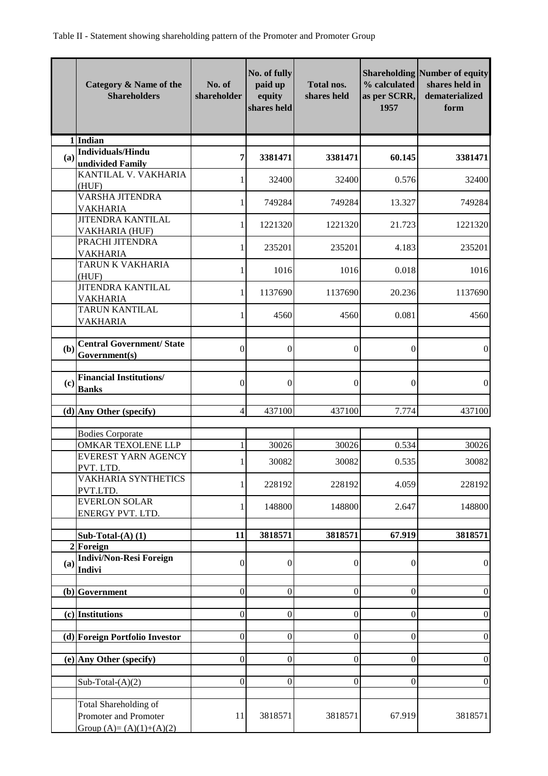|     | Category & Name of the<br><b>Shareholders</b>                               | No. of<br>shareholder | No. of fully<br>paid up<br>equity<br>shares held | <b>Total nos.</b><br>shares held | % calculated<br>as per SCRR,<br>1957 | <b>Shareholding Number of equity</b><br>shares held in<br>dematerialized<br>form |
|-----|-----------------------------------------------------------------------------|-----------------------|--------------------------------------------------|----------------------------------|--------------------------------------|----------------------------------------------------------------------------------|
|     | 1 Indian                                                                    |                       |                                                  |                                  |                                      |                                                                                  |
| (a) | <b>Individuals/Hindu</b><br>undivided Family                                | 7                     | 3381471                                          | 3381471                          | 60.145                               | 3381471                                                                          |
|     | KANTILAL V. VAKHARIA<br>(HUF)                                               | 1                     | 32400                                            | 32400                            | 0.576                                | 32400                                                                            |
|     | <b>VARSHA JITENDRA</b><br><b>VAKHARIA</b>                                   | 1                     | 749284                                           | 749284                           | 13.327                               | 749284                                                                           |
|     | <b>JITENDRA KANTILAL</b><br>VAKHARIA (HUF)                                  | 1                     | 1221320                                          | 1221320                          | 21.723                               | 1221320                                                                          |
|     | PRACHI JITENDRA<br><b>VAKHARIA</b>                                          | 1                     | 235201                                           | 235201                           | 4.183                                | 235201                                                                           |
|     | TARUN K VAKHARIA<br>(HUF)                                                   | 1                     | 1016                                             | 1016                             | 0.018                                | 1016                                                                             |
|     | <b>JITENDRA KANTILAL</b><br><b>VAKHARIA</b>                                 | $\mathbf{1}$          | 1137690                                          | 1137690                          | 20.236                               | 1137690                                                                          |
|     | <b>TARUN KANTILAL</b><br><b>VAKHARIA</b>                                    | 1                     | 4560                                             | 4560                             | 0.081                                | 4560                                                                             |
|     |                                                                             |                       |                                                  |                                  |                                      |                                                                                  |
| (b) | <b>Central Government/ State</b><br>Government(s)                           | $\theta$              | $\overline{0}$                                   | $\overline{0}$                   | $\theta$                             | $\boldsymbol{0}$                                                                 |
| (c) | <b>Financial Institutions/</b><br><b>Banks</b>                              | $\boldsymbol{0}$      | $\overline{0}$                                   | $\theta$                         | $\theta$                             | $\boldsymbol{0}$                                                                 |
|     | $(d)$ Any Other (specify)                                                   | $\overline{4}$        | 437100                                           | 437100                           | 7.774                                | 437100                                                                           |
|     | <b>Bodies Corporate</b>                                                     |                       |                                                  |                                  |                                      |                                                                                  |
|     | OMKAR TEXOLENE LLP                                                          | 1                     | 30026                                            | 30026                            | 0.534                                | 30026                                                                            |
|     | <b>EVEREST YARN AGENCY</b><br>PVT. LTD.                                     | 1                     | 30082                                            | 30082                            | 0.535                                | 30082                                                                            |
|     | VAKHARIA SYNTHETICS<br>PVT.LTD.                                             | 1                     | 228192                                           | 228192                           | 4.059                                | 228192                                                                           |
|     | <b>EVERLON SOLAR</b><br>ENERGY PVT. LTD.                                    | 1                     | 148800                                           | 148800                           | 2.647                                | 148800                                                                           |
|     |                                                                             |                       |                                                  |                                  |                                      |                                                                                  |
|     | Sub-Total- $(A)$ $(1)$<br>2 Foreign                                         | 11                    | 3818571                                          | 3818571                          | 67.919                               | 3818571                                                                          |
| (a) | <b>Indivi/Non-Resi Foreign</b><br><b>Indivi</b>                             | $\overline{0}$        | $\mathbf{0}$                                     | $\overline{0}$                   | $\boldsymbol{0}$                     | $\boldsymbol{0}$                                                                 |
|     | (b) Government                                                              | $\overline{0}$        | $\boldsymbol{0}$                                 | $\overline{0}$                   | $\mathbf{0}$                         | $\overline{0}$                                                                   |
|     | $(c)$ Institutions                                                          | $\mathbf{0}$          | $\boldsymbol{0}$                                 | $\overline{0}$                   | $\overline{0}$                       | $\boldsymbol{0}$                                                                 |
|     | (d) Foreign Portfolio Investor                                              | $\boldsymbol{0}$      | 0                                                | $\overline{0}$                   | $\overline{0}$                       | $\boldsymbol{0}$                                                                 |
|     | (e) Any Other (specify)                                                     | $\overline{0}$        | $\boldsymbol{0}$                                 | $\boldsymbol{0}$                 | $\mathbf{0}$                         | $\boldsymbol{0}$                                                                 |
|     | Sub-Total- $(A)(2)$                                                         | $\boldsymbol{0}$      | $\boldsymbol{0}$                                 | $\boldsymbol{0}$                 | $\theta$                             | $\overline{0}$                                                                   |
|     | Total Shareholding of<br>Promoter and Promoter<br>Group $(A)=(A)(1)+(A)(2)$ | 11                    | 3818571                                          | 3818571                          | 67.919                               | 3818571                                                                          |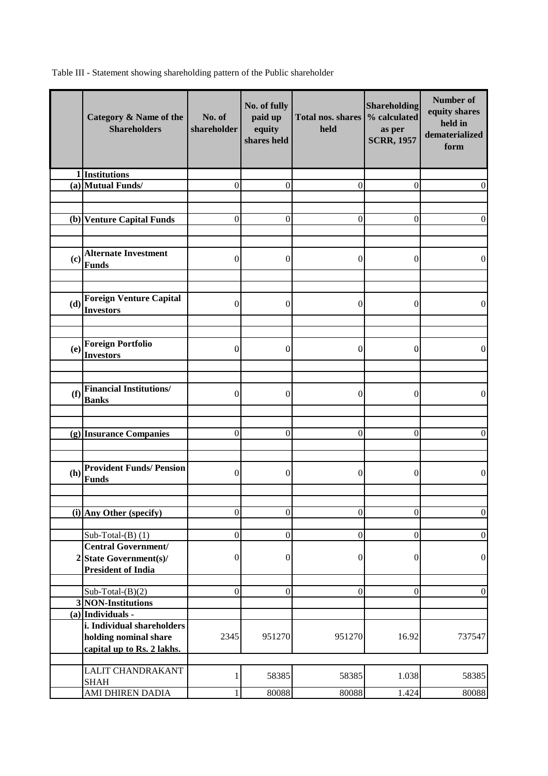Table III - Statement showing shareholding pattern of the Public shareholder

|     | Category & Name of the<br><b>Shareholders</b>         | No. of<br>shareholder | No. of fully<br>paid up<br>equity<br>shares held | <b>Total nos. shares</b><br>held | <b>Shareholding</b><br>% calculated<br>as per<br><b>SCRR, 1957</b> | Number of<br>equity shares<br>held in<br>dematerialized<br>form |
|-----|-------------------------------------------------------|-----------------------|--------------------------------------------------|----------------------------------|--------------------------------------------------------------------|-----------------------------------------------------------------|
|     | 1 Institutions                                        |                       |                                                  |                                  |                                                                    |                                                                 |
|     | (a) Mutual Funds/                                     | $\theta$              | $\theta$                                         | $\theta$                         | $\overline{0}$                                                     | $\theta$                                                        |
|     |                                                       |                       |                                                  |                                  |                                                                    |                                                                 |
|     |                                                       |                       |                                                  |                                  |                                                                    |                                                                 |
|     | (b) Venture Capital Funds                             | $\mathbf{0}$          | $\boldsymbol{0}$                                 | $\theta$                         | $\theta$                                                           | 0                                                               |
|     |                                                       |                       |                                                  |                                  |                                                                    |                                                                 |
| (c) | <b>Alternate Investment</b>                           | $\mathbf{0}$          | $\theta$                                         | $\mathbf{0}$                     | $\boldsymbol{0}$                                                   | $\overline{0}$                                                  |
|     | Funds                                                 |                       |                                                  |                                  |                                                                    |                                                                 |
|     |                                                       |                       |                                                  |                                  |                                                                    |                                                                 |
| (d) | <b>Foreign Venture Capital</b>                        | $\overline{0}$        | $\theta$                                         | $\mathbf{0}$                     | $\theta$                                                           | $\mathbf{0}$                                                    |
|     | <b>Investors</b>                                      |                       |                                                  |                                  |                                                                    |                                                                 |
|     |                                                       |                       |                                                  |                                  |                                                                    |                                                                 |
|     | <b>Foreign Portfolio</b>                              |                       |                                                  |                                  |                                                                    |                                                                 |
| (e) | <b>Investors</b>                                      | $\mathbf{0}$          | $\mathbf{0}$                                     | 0                                | $\bf{0}$                                                           | 0                                                               |
|     |                                                       |                       |                                                  |                                  |                                                                    |                                                                 |
|     |                                                       |                       |                                                  |                                  |                                                                    |                                                                 |
| (f) | <b>Financial Institutions/</b>                        | $\Omega$              | $\theta$                                         | $\theta$                         | $\theta$                                                           | $\Omega$                                                        |
|     | <b>Banks</b>                                          |                       |                                                  |                                  |                                                                    |                                                                 |
|     |                                                       |                       |                                                  |                                  |                                                                    |                                                                 |
|     |                                                       |                       |                                                  |                                  |                                                                    |                                                                 |
|     | (g) Insurance Companies                               | $\boldsymbol{0}$      | $\theta$                                         | $\overline{0}$                   | $\theta$                                                           | $\overline{0}$                                                  |
|     |                                                       |                       |                                                  |                                  |                                                                    |                                                                 |
|     | <b>Provident Funds/ Pension</b>                       |                       |                                                  |                                  |                                                                    |                                                                 |
| (h) | <b>Funds</b>                                          | $\overline{0}$        | $\boldsymbol{0}$                                 | 0                                | $\boldsymbol{0}$                                                   | 0                                                               |
|     |                                                       |                       |                                                  |                                  |                                                                    |                                                                 |
|     |                                                       |                       |                                                  |                                  |                                                                    |                                                                 |
|     | (i) Any Other (specify)                               | $\mathbf{0}$          | $\boldsymbol{0}$                                 | $\mathbf{0}$                     | $\overline{0}$                                                     | $\boldsymbol{0}$                                                |
|     |                                                       |                       |                                                  |                                  |                                                                    |                                                                 |
|     | Sub-Total- $(B)$ (1)                                  | $\mathbf{0}$          | $\boldsymbol{0}$                                 | $\overline{0}$                   | $\boldsymbol{0}$                                                   | $\boldsymbol{0}$                                                |
|     | <b>Central Government/</b>                            |                       |                                                  | 0                                |                                                                    | $\boldsymbol{0}$                                                |
|     | $2$ State Government(s)/<br><b>President of India</b> | $\boldsymbol{0}$      | $\boldsymbol{0}$                                 |                                  | $\boldsymbol{0}$                                                   |                                                                 |
|     |                                                       |                       |                                                  |                                  |                                                                    |                                                                 |
|     | Sub-Total- $(B)(2)$                                   | $\boldsymbol{0}$      | $\mathbf{0}$                                     | $\overline{0}$                   | $\boldsymbol{0}$                                                   | $\boldsymbol{0}$                                                |
|     | 3 NON-Institutions                                    |                       |                                                  |                                  |                                                                    |                                                                 |
|     | $(a)$ Individuals -                                   |                       |                                                  |                                  |                                                                    |                                                                 |
|     | i. Individual shareholders                            |                       |                                                  |                                  |                                                                    |                                                                 |
|     | holding nominal share                                 | 2345                  | 951270                                           | 951270                           | 16.92                                                              | 737547                                                          |
|     | capital up to Rs. 2 lakhs.                            |                       |                                                  |                                  |                                                                    |                                                                 |
|     |                                                       |                       |                                                  |                                  |                                                                    |                                                                 |
|     | LALIT CHANDRAKANT                                     | 1                     | 58385                                            | 58385                            | 1.038                                                              | 58385                                                           |
|     | <b>SHAH</b><br>AMI DHIREN DADIA                       | $\mathbf 1$           | 80088                                            | 80088                            | 1.424                                                              | 80088                                                           |
|     |                                                       |                       |                                                  |                                  |                                                                    |                                                                 |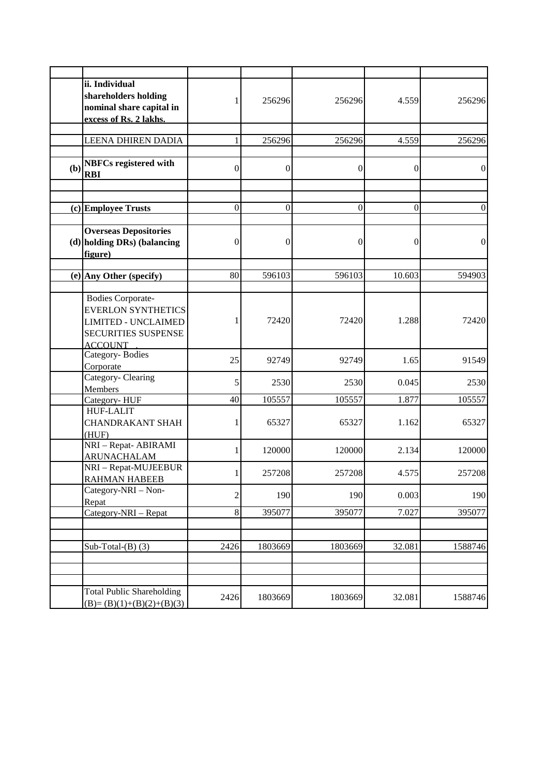|     | ii. Individual                                                                                                               |                  |                  |          |                |                  |
|-----|------------------------------------------------------------------------------------------------------------------------------|------------------|------------------|----------|----------------|------------------|
|     | shareholders holding<br>nominal share capital in<br>excess of Rs. 2 lakhs.                                                   | 1                | 256296           | 256296   | 4.559          | 256296           |
|     | LEENA DHIREN DADIA                                                                                                           |                  | 256296           | 256296   | 4.559          | 256296           |
|     |                                                                                                                              |                  |                  |          |                |                  |
| (b) | <b>NBFCs registered with</b><br><b>RBI</b>                                                                                   | $\boldsymbol{0}$ | $\overline{0}$   | $\theta$ | $\overline{0}$ | $\boldsymbol{0}$ |
|     | (c) Employee Trusts                                                                                                          | $\overline{0}$   | $\overline{0}$   | $\theta$ | $\theta$       | $\boldsymbol{0}$ |
|     | <b>Overseas Depositories</b><br>(d) holding DRs) (balancing<br>figure)                                                       | $\overline{0}$   | $\boldsymbol{0}$ | 0        | 0              | $\boldsymbol{0}$ |
|     | (e) Any Other (specify)                                                                                                      | 80               | 596103           | 596103   | 10.603         | 594903           |
|     | <b>Bodies Corporate-</b><br><b>EVERLON SYNTHETICS</b><br><b>LIMITED - UNCLAIMED</b><br>SECURITIES SUSPENSE<br><b>ACCOUNT</b> |                  | 72420            | 72420    | 1.288          | 72420            |
|     | Category-Bodies<br>Corporate                                                                                                 | 25               | 92749            | 92749    | 1.65           | 91549            |
|     | Category- Clearing<br>Members                                                                                                | 5                | 2530             | 2530     | 0.045          | 2530             |
|     | Category-HUF                                                                                                                 | 40               | 105557           | 105557   | 1.877          | 105557           |
|     | <b>HUF-LALIT</b><br><b>CHANDRAKANT SHAH</b><br>(HUF)                                                                         |                  | 65327            | 65327    | 1.162          | 65327            |
|     | NRI - Repat- ABIRAMI<br><b>ARUNACHALAM</b>                                                                                   | 1                | 120000           | 120000   | 2.134          | 120000           |
|     | NRI - Repat-MUJEEBUR<br><b>RAHMAN HABEEB</b>                                                                                 | 1                | 257208           | 257208   | 4.575          | 257208           |
|     | Category-NRI - Non-<br>Repat                                                                                                 | $\overline{c}$   | 190              | 190      | 0.003          | 190              |
|     | Category-NRI - Repat                                                                                                         | $\,8\,$          | 395077           | 395077   | 7.027          | 395077           |
|     | Sub-Total- $(B)$ (3)                                                                                                         | 2426             | 1803669          | 1803669  | 32.081         | 1588746          |
|     |                                                                                                                              |                  |                  |          |                |                  |
|     | <b>Total Public Shareholding</b><br>$(B)=(B)(1)+(B)(2)+(B)(3)$                                                               | 2426             | 1803669          | 1803669  | 32.081         | 1588746          |